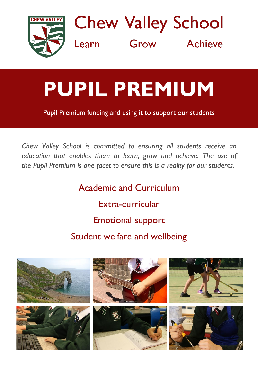

**Chew Valley School** Grow Achieve Learn

## **PUPIL PREMIUM**

Pupil Premium funding and using it to support our students

*Chew Valley School is committed to ensuring all students receive an education that enables them to learn, grow and achieve. The use of the Pupil Premium is one facet to ensure this is a reality for our students.*

> Academic and Curriculum Extra-curricular Emotional support Student welfare and wellbeing